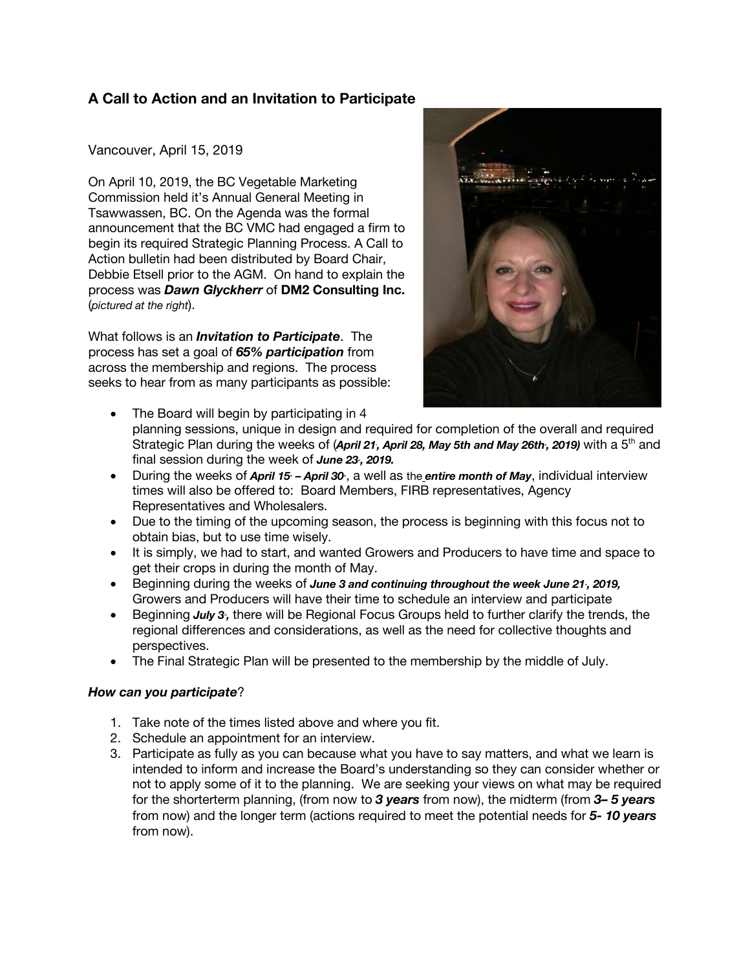# **A Call to Action and an Invitation to Participate**

Vancouver, April 15, 2019

On April 10, 2019, the BC Vegetable Marketing Commission held it's Annual General Meeting in Tsawwassen, BC. On the Agenda was the formal announcement that the BC VMC had engaged a firm to begin its required Strategic Planning Process. A Call to Action bulletin had been distributed by Board Chair, Debbie Etsell prior to the AGM. On hand to explain the process was *Dawn Glyckherr* of **DM2 Consulting Inc.** (*pictured at the right*).

What follows is an *Invitation to Participate*. The process has set a goal of *65% participation* from across the membership and regions. The process seeks to hear from as many participants as possible:



- The Board will begin by participating in 4 planning sessions, unique in design and required for completion of the overall and required Strategic Plan during the weeks of (April 21, April 28, May 5th and May 26th, 2019) with a 5<sup>th</sup> and final session during the week of *June 23*, 2019.
- During the weeks of *April 15 April 30*, a well as the *entire month of May*, individual interview times will also be offered to: Board Members, FIRB representatives, Agency Representatives and Wholesalers.
- Due to the timing of the upcoming season, the process is beginning with this focus not to obtain bias, but to use time wisely.
- It is simply, we had to start, and wanted Growers and Producers to have time and space to get their crops in during the month of May.
- Beginning during the weeks of *June 3 and continuing throughout the week June 21<sup>t</sup>, 2019,* Growers and Producers will have their time to schedule an interview and participate
- Beginning *July 3*, there will be Regional Focus Groups held to further clarify the trends, the regional differences and considerations, as well as the need for collective thoughts and perspectives.
- The Final Strategic Plan will be presented to the membership by the middle of July.

## *How can you participate*?

- 1. Take note of the times listed above and where you fit.
- 2. Schedule an appointment for an interview.
- 3. Participate as fully as you can because what you have to say matters, and what we learn is intended to inform and increase the Board's understanding so they can consider whether or not to apply some of it to the planning. We are seeking your views on what may be required for the shorterterm planning, (from now to *3 years* from now), the midterm (from *3– 5 years* from now) and the longer term (actions required to meet the potential needs for *5- 10 years* from now).